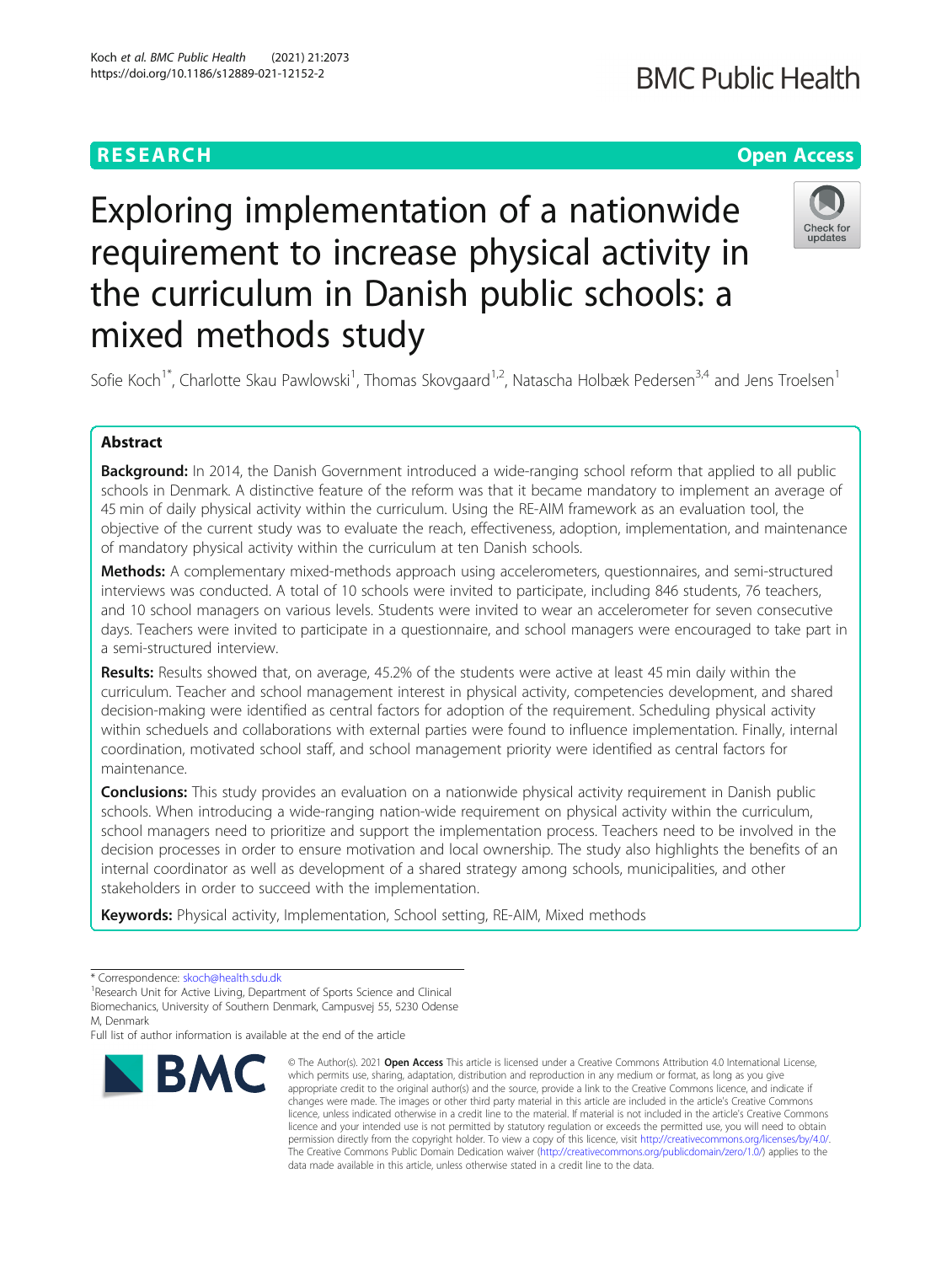# **RESEARCH CHE Open Access**

# Exploring implementation of a nationwide requirement to increase physical activity in the curriculum in Danish public schools: a mixed methods study



Sofie Koch<sup>1\*</sup>, Charlotte Skau Pawlowski<sup>1</sup>, Thomas Skovgaard<sup>1,2</sup>, Natascha Holbæk Pedersen<sup>3,4</sup> and Jens Troelsen<sup>1</sup>

# Abstract

**Background:** In 2014, the Danish Government introduced a wide-ranging school reform that applied to all public schools in Denmark. A distinctive feature of the reform was that it became mandatory to implement an average of 45 min of daily physical activity within the curriculum. Using the RE-AIM framework as an evaluation tool, the objective of the current study was to evaluate the reach, effectiveness, adoption, implementation, and maintenance of mandatory physical activity within the curriculum at ten Danish schools.

Methods: A complementary mixed-methods approach using accelerometers, questionnaires, and semi-structured interviews was conducted. A total of 10 schools were invited to participate, including 846 students, 76 teachers, and 10 school managers on various levels. Students were invited to wear an accelerometer for seven consecutive days. Teachers were invited to participate in a questionnaire, and school managers were encouraged to take part in a semi-structured interview.

Results: Results showed that, on average, 45.2% of the students were active at least 45 min daily within the curriculum. Teacher and school management interest in physical activity, competencies development, and shared decision-making were identified as central factors for adoption of the requirement. Scheduling physical activity within scheduels and collaborations with external parties were found to influence implementation. Finally, internal coordination, motivated school staff, and school management priority were identified as central factors for maintenance.

**Conclusions:** This study provides an evaluation on a nationwide physical activity requirement in Danish public schools. When introducing a wide-ranging nation-wide requirement on physical activity within the curriculum, school managers need to prioritize and support the implementation process. Teachers need to be involved in the decision processes in order to ensure motivation and local ownership. The study also highlights the benefits of an internal coordinator as well as development of a shared strategy among schools, municipalities, and other stakeholders in order to succeed with the implementation.

Keywords: Physical activity, Implementation, School setting, RE-AIM, Mixed methods

Full list of author information is available at the end of the article



<sup>©</sup> The Author(s), 2021 **Open Access** This article is licensed under a Creative Commons Attribution 4.0 International License, which permits use, sharing, adaptation, distribution and reproduction in any medium or format, as long as you give appropriate credit to the original author(s) and the source, provide a link to the Creative Commons licence, and indicate if changes were made. The images or other third party material in this article are included in the article's Creative Commons licence, unless indicated otherwise in a credit line to the material. If material is not included in the article's Creative Commons licence and your intended use is not permitted by statutory regulation or exceeds the permitted use, you will need to obtain permission directly from the copyright holder. To view a copy of this licence, visit [http://creativecommons.org/licenses/by/4.0/.](http://creativecommons.org/licenses/by/4.0/) The Creative Commons Public Domain Dedication waiver [\(http://creativecommons.org/publicdomain/zero/1.0/](http://creativecommons.org/publicdomain/zero/1.0/)) applies to the data made available in this article, unless otherwise stated in a credit line to the data.

<sup>\*</sup> Correspondence: [skoch@health.sdu.dk](mailto:skoch@health.sdu.dk)<br><sup>1</sup>Research Unit for Active Living, Department of Sports Science and Clinical Biomechanics, University of Southern Denmark, Campusvej 55, 5230 Odense

M, Denmark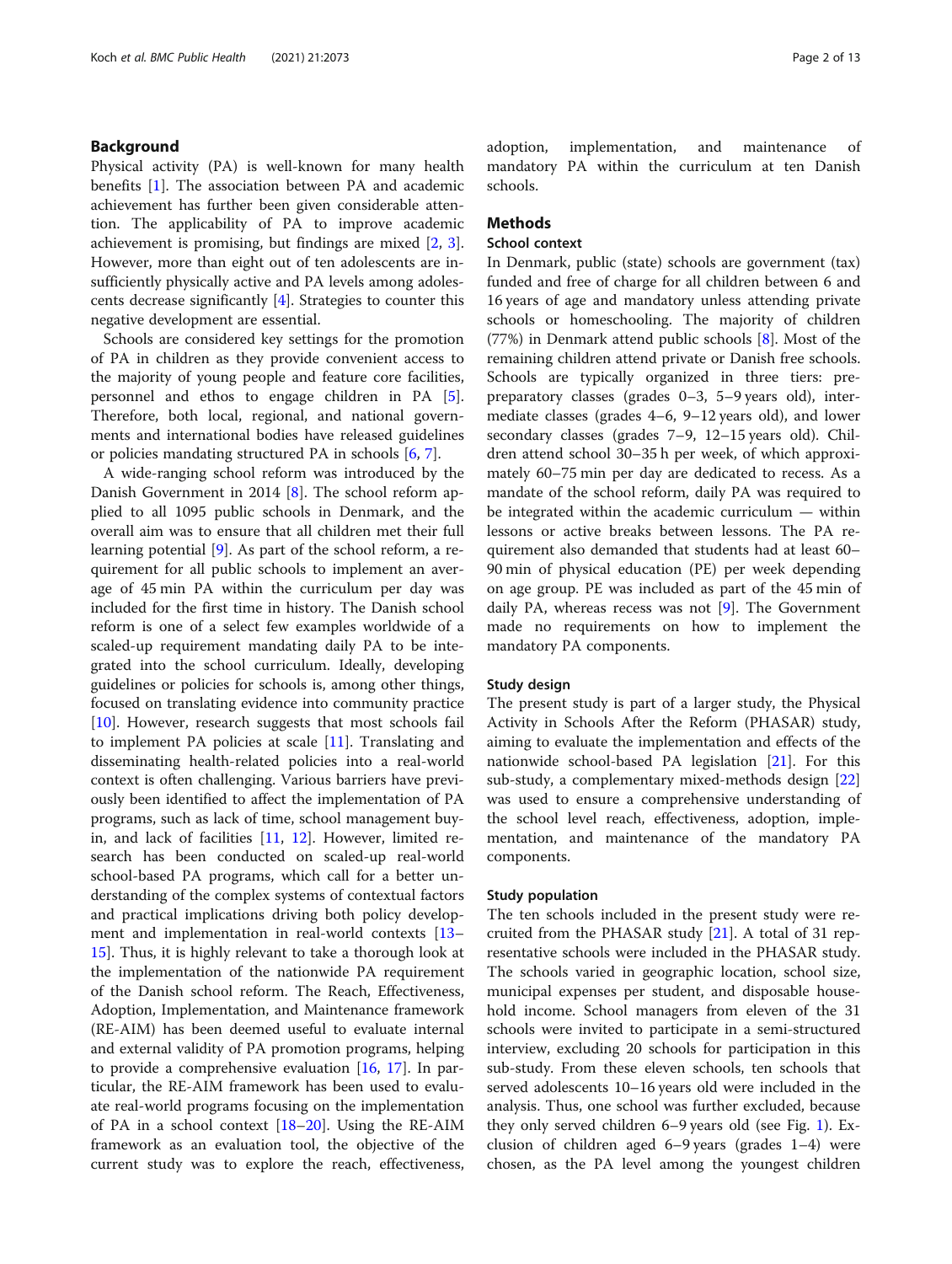# Background

Physical activity (PA) is well-known for many health benefits [[1\]](#page-10-0). The association between PA and academic achievement has further been given considerable attention. The applicability of PA to improve academic achievement is promising, but findings are mixed [[2,](#page-10-0) [3](#page-11-0)]. However, more than eight out of ten adolescents are insufficiently physically active and PA levels among adolescents decrease significantly [[4\]](#page-11-0). Strategies to counter this negative development are essential.

Schools are considered key settings for the promotion of PA in children as they provide convenient access to the majority of young people and feature core facilities, personnel and ethos to engage children in PA [\[5](#page-11-0)]. Therefore, both local, regional, and national governments and international bodies have released guidelines or policies mandating structured PA in schools [[6,](#page-11-0) [7\]](#page-11-0).

A wide-ranging school reform was introduced by the Danish Government in 2014 [\[8](#page-11-0)]. The school reform applied to all 1095 public schools in Denmark, and the overall aim was to ensure that all children met their full learning potential [\[9](#page-11-0)]. As part of the school reform, a requirement for all public schools to implement an average of 45 min PA within the curriculum per day was included for the first time in history. The Danish school reform is one of a select few examples worldwide of a scaled-up requirement mandating daily PA to be integrated into the school curriculum. Ideally, developing guidelines or policies for schools is, among other things, focused on translating evidence into community practice [[10\]](#page-11-0). However, research suggests that most schools fail to implement PA policies at scale [[11\]](#page-11-0). Translating and disseminating health-related policies into a real-world context is often challenging. Various barriers have previously been identified to affect the implementation of PA programs, such as lack of time, school management buyin, and lack of facilities [[11,](#page-11-0) [12](#page-11-0)]. However, limited research has been conducted on scaled-up real-world school-based PA programs, which call for a better understanding of the complex systems of contextual factors and practical implications driving both policy development and implementation in real-world contexts [[13](#page-11-0)– [15\]](#page-11-0). Thus, it is highly relevant to take a thorough look at the implementation of the nationwide PA requirement of the Danish school reform. The Reach, Effectiveness, Adoption, Implementation, and Maintenance framework (RE-AIM) has been deemed useful to evaluate internal and external validity of PA promotion programs, helping to provide a comprehensive evaluation [\[16,](#page-11-0) [17\]](#page-11-0). In particular, the RE-AIM framework has been used to evaluate real-world programs focusing on the implementation of PA in a school context [[18](#page-11-0)–[20](#page-11-0)]. Using the RE-AIM framework as an evaluation tool, the objective of the current study was to explore the reach, effectiveness, adoption, implementation, and maintenance of mandatory PA within the curriculum at ten Danish schools.

# **Methods**

# School context

In Denmark, public (state) schools are government (tax) funded and free of charge for all children between 6 and 16 years of age and mandatory unless attending private schools or homeschooling. The majority of children (77%) in Denmark attend public schools [[8\]](#page-11-0). Most of the remaining children attend private or Danish free schools. Schools are typically organized in three tiers: prepreparatory classes (grades 0–3, 5–9 years old), intermediate classes (grades 4–6, 9–12 years old), and lower secondary classes (grades 7–9, 12–15 years old). Children attend school 30–35 h per week, of which approximately 60–75 min per day are dedicated to recess. As a mandate of the school reform, daily PA was required to be integrated within the academic curriculum — within lessons or active breaks between lessons. The PA requirement also demanded that students had at least 60– 90 min of physical education (PE) per week depending on age group. PE was included as part of the 45 min of daily PA, whereas recess was not [\[9](#page-11-0)]. The Government made no requirements on how to implement the mandatory PA components.

#### Study design

The present study is part of a larger study, the Physical Activity in Schools After the Reform (PHASAR) study, aiming to evaluate the implementation and effects of the nationwide school-based PA legislation [[21\]](#page-11-0). For this sub-study, a complementary mixed-methods design [[22](#page-11-0)] was used to ensure a comprehensive understanding of the school level reach, effectiveness, adoption, implementation, and maintenance of the mandatory PA components.

# Study population

The ten schools included in the present study were recruited from the PHASAR study [\[21](#page-11-0)]. A total of 31 representative schools were included in the PHASAR study. The schools varied in geographic location, school size, municipal expenses per student, and disposable household income. School managers from eleven of the 31 schools were invited to participate in a semi-structured interview, excluding 20 schools for participation in this sub-study. From these eleven schools, ten schools that served adolescents 10–16 years old were included in the analysis. Thus, one school was further excluded, because they only served children 6–9 years old (see Fig. [1\)](#page-2-0). Exclusion of children aged 6–9 years (grades 1–4) were chosen, as the PA level among the youngest children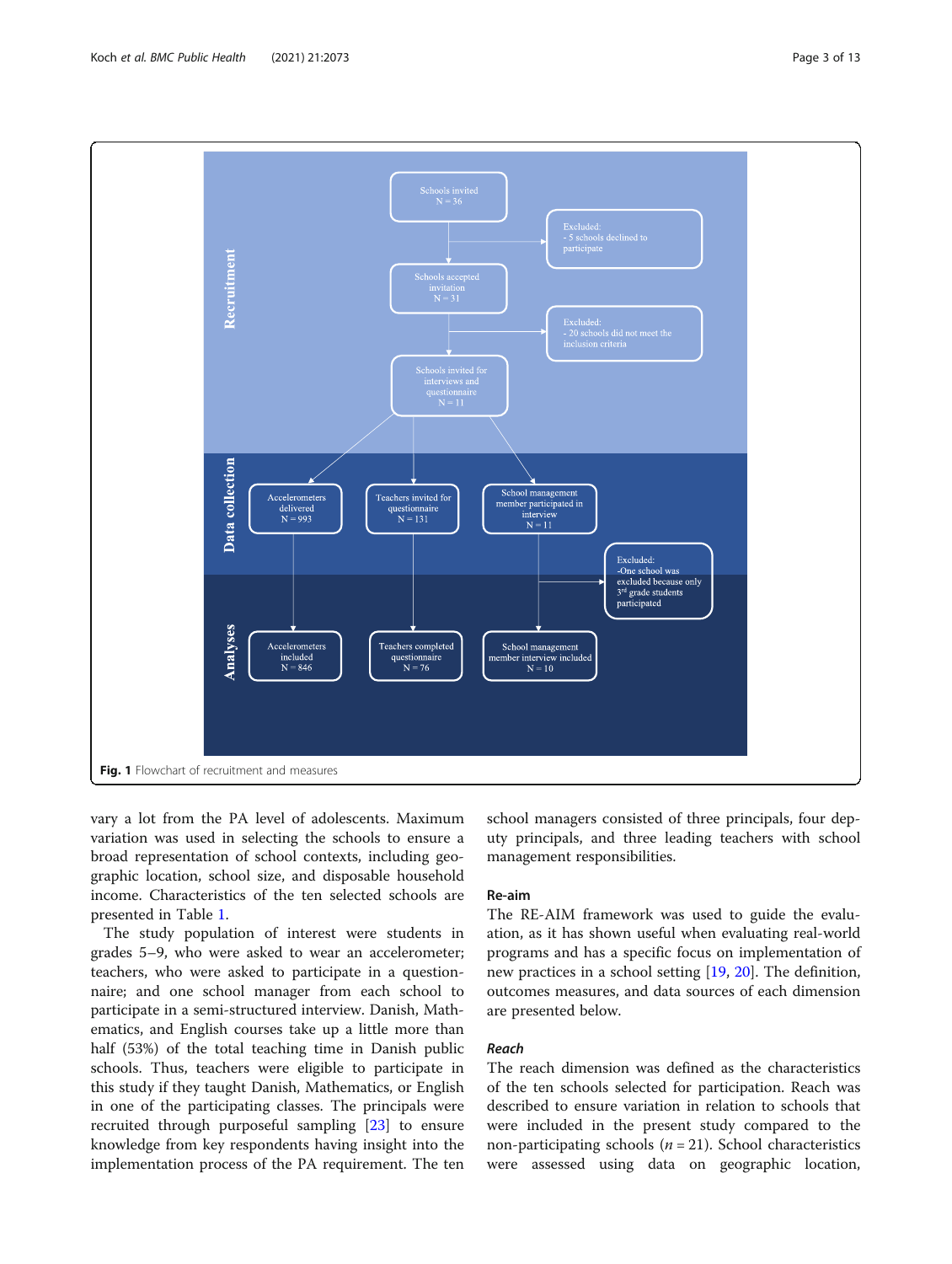<span id="page-2-0"></span>

vary a lot from the PA level of adolescents. Maximum variation was used in selecting the schools to ensure a broad representation of school contexts, including geographic location, school size, and disposable household income. Characteristics of the ten selected schools are presented in Table [1](#page-3-0).

The study population of interest were students in grades 5–9, who were asked to wear an accelerometer; teachers, who were asked to participate in a questionnaire; and one school manager from each school to participate in a semi-structured interview. Danish, Mathematics, and English courses take up a little more than half (53%) of the total teaching time in Danish public schools. Thus, teachers were eligible to participate in this study if they taught Danish, Mathematics, or English in one of the participating classes. The principals were recruited through purposeful sampling [\[23](#page-11-0)] to ensure knowledge from key respondents having insight into the implementation process of the PA requirement. The ten

school managers consisted of three principals, four deputy principals, and three leading teachers with school management responsibilities.

# Re-aim

The RE-AIM framework was used to guide the evaluation, as it has shown useful when evaluating real-world programs and has a specific focus on implementation of new practices in a school setting [[19,](#page-11-0) [20](#page-11-0)]. The definition, outcomes measures, and data sources of each dimension are presented below.

# Reach

The reach dimension was defined as the characteristics of the ten schools selected for participation. Reach was described to ensure variation in relation to schools that were included in the present study compared to the non-participating schools ( $n = 21$ ). School characteristics were assessed using data on geographic location,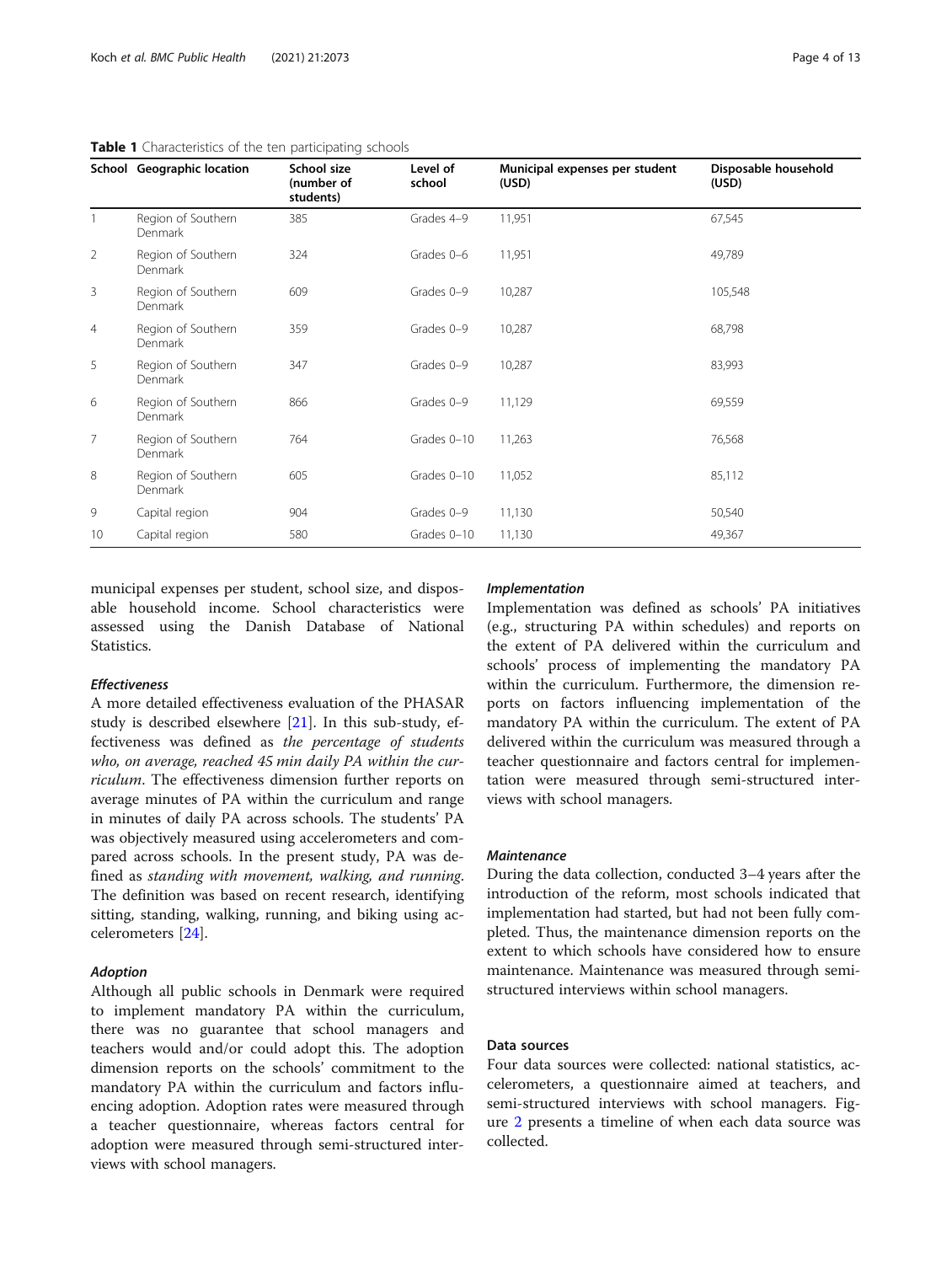|                | School Geographic location    | School size<br>(number of<br>students) | Level of<br>school | Municipal expenses per student<br>(USD) | Disposable household<br>(USD) |
|----------------|-------------------------------|----------------------------------------|--------------------|-----------------------------------------|-------------------------------|
|                | Region of Southern<br>Denmark | 385                                    | Grades 4-9         | 11,951                                  | 67,545                        |
| 2              | Region of Southern<br>Denmark | 324                                    | Grades 0-6         | 11,951                                  | 49,789                        |
| 3              | Region of Southern<br>Denmark | 609                                    | Grades 0-9         | 10,287                                  | 105,548                       |
| $\overline{4}$ | Region of Southern<br>Denmark | 359                                    | Grades 0-9         | 10,287                                  | 68,798                        |
| 5              | Region of Southern<br>Denmark | 347                                    | Grades 0-9         | 10,287                                  | 83,993                        |
| 6              | Region of Southern<br>Denmark | 866                                    | Grades 0-9         | 11,129                                  | 69,559                        |
| $\overline{7}$ | Region of Southern<br>Denmark | 764                                    | Grades 0-10        | 11,263                                  | 76,568                        |
| 8              | Region of Southern<br>Denmark | 605                                    | Grades 0-10        | 11,052                                  | 85,112                        |
| 9              | Capital region                | 904                                    | Grades 0-9         | 11,130                                  | 50,540                        |
| 10             | Capital region                | 580                                    | Grades 0-10        | 11,130                                  | 49,367                        |

# <span id="page-3-0"></span>Table 1 Characteristics of the ten participating schools

municipal expenses per student, school size, and disposable household income. School characteristics were assessed using the Danish Database of National Statistics.

# **Effectiveness**

A more detailed effectiveness evaluation of the PHASAR study is described elsewhere [[21\]](#page-11-0). In this sub-study, effectiveness was defined as the percentage of students who, on average, reached 45 min daily PA within the curriculum. The effectiveness dimension further reports on average minutes of PA within the curriculum and range in minutes of daily PA across schools. The students' PA was objectively measured using accelerometers and compared across schools. In the present study, PA was defined as standing with movement, walking, and running. The definition was based on recent research, identifying sitting, standing, walking, running, and biking using accelerometers [[24\]](#page-11-0).

#### Adoption

Although all public schools in Denmark were required to implement mandatory PA within the curriculum, there was no guarantee that school managers and teachers would and/or could adopt this. The adoption dimension reports on the schools' commitment to the mandatory PA within the curriculum and factors influencing adoption. Adoption rates were measured through a teacher questionnaire, whereas factors central for adoption were measured through semi-structured interviews with school managers.

# Implementation

Implementation was defined as schools' PA initiatives (e.g., structuring PA within schedules) and reports on the extent of PA delivered within the curriculum and schools' process of implementing the mandatory PA within the curriculum. Furthermore, the dimension reports on factors influencing implementation of the mandatory PA within the curriculum. The extent of PA delivered within the curriculum was measured through a teacher questionnaire and factors central for implementation were measured through semi-structured interviews with school managers.

# **Maintenance**

During the data collection, conducted 3–4 years after the introduction of the reform, most schools indicated that implementation had started, but had not been fully completed. Thus, the maintenance dimension reports on the extent to which schools have considered how to ensure maintenance. Maintenance was measured through semistructured interviews within school managers.

# Data sources

Four data sources were collected: national statistics, accelerometers, a questionnaire aimed at teachers, and semi-structured interviews with school managers. Figure [2](#page-4-0) presents a timeline of when each data source was collected.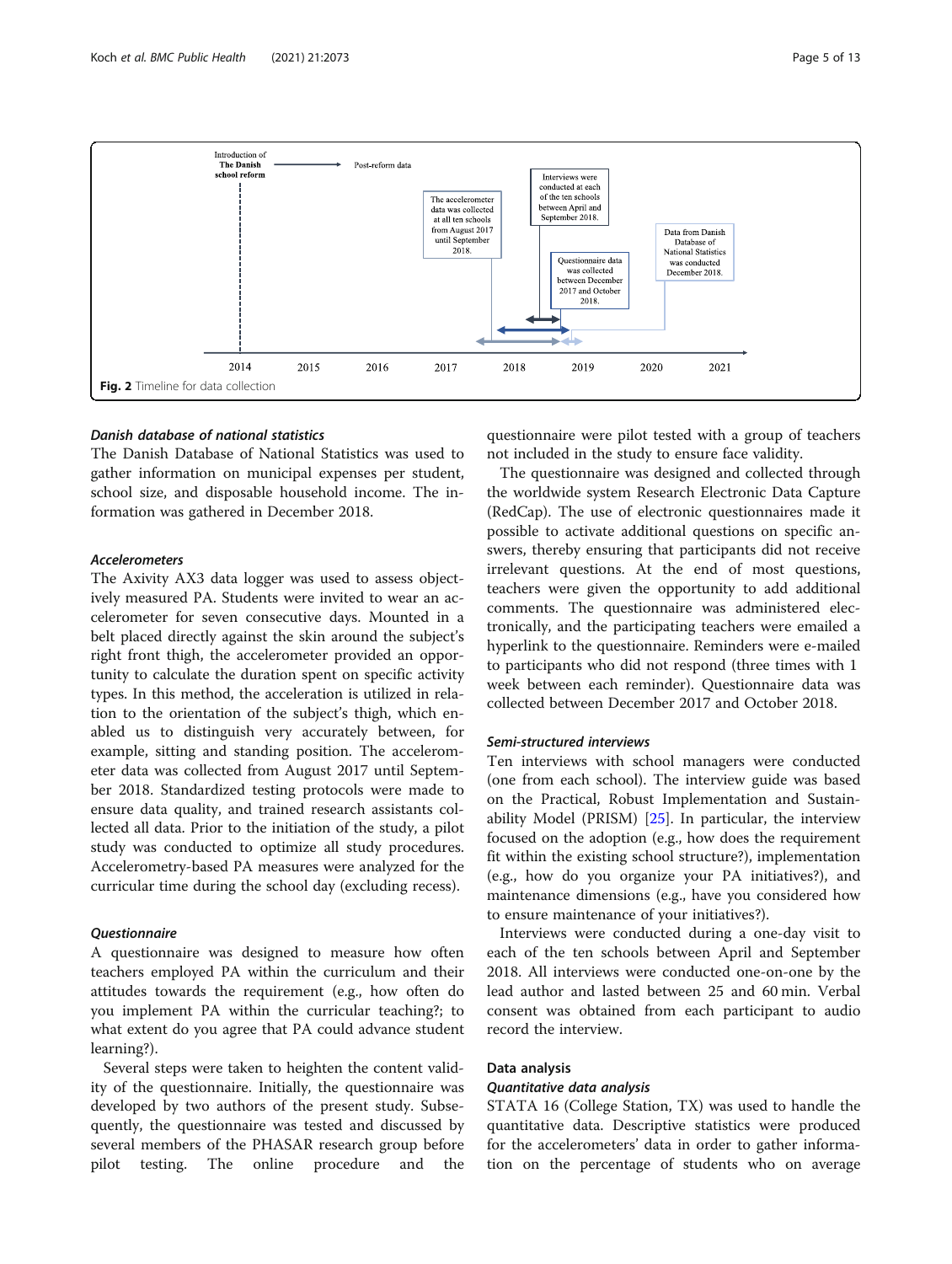<span id="page-4-0"></span>

# Danish database of national statistics

The Danish Database of National Statistics was used to gather information on municipal expenses per student, school size, and disposable household income. The information was gathered in December 2018.

#### Accelerometers

The Axivity AX3 data logger was used to assess objectively measured PA. Students were invited to wear an accelerometer for seven consecutive days. Mounted in a belt placed directly against the skin around the subject's right front thigh, the accelerometer provided an opportunity to calculate the duration spent on specific activity types. In this method, the acceleration is utilized in relation to the orientation of the subject's thigh, which enabled us to distinguish very accurately between, for example, sitting and standing position. The accelerometer data was collected from August 2017 until September 2018. Standardized testing protocols were made to ensure data quality, and trained research assistants collected all data. Prior to the initiation of the study, a pilot study was conducted to optimize all study procedures. Accelerometry-based PA measures were analyzed for the curricular time during the school day (excluding recess).

# **Questionnaire**

A questionnaire was designed to measure how often teachers employed PA within the curriculum and their attitudes towards the requirement (e.g., how often do you implement PA within the curricular teaching?; to what extent do you agree that PA could advance student learning?).

Several steps were taken to heighten the content validity of the questionnaire. Initially, the questionnaire was developed by two authors of the present study. Subsequently, the questionnaire was tested and discussed by several members of the PHASAR research group before pilot testing. The online procedure and the questionnaire were pilot tested with a group of teachers not included in the study to ensure face validity.

The questionnaire was designed and collected through the worldwide system Research Electronic Data Capture (RedCap). The use of electronic questionnaires made it possible to activate additional questions on specific answers, thereby ensuring that participants did not receive irrelevant questions. At the end of most questions, teachers were given the opportunity to add additional comments. The questionnaire was administered electronically, and the participating teachers were emailed a hyperlink to the questionnaire. Reminders were e-mailed to participants who did not respond (three times with 1 week between each reminder). Questionnaire data was collected between December 2017 and October 2018.

# Semi-structured interviews

Ten interviews with school managers were conducted (one from each school). The interview guide was based on the Practical, Robust Implementation and Sustainability Model (PRISM) [[25](#page-11-0)]. In particular, the interview focused on the adoption (e.g., how does the requirement fit within the existing school structure?), implementation (e.g., how do you organize your PA initiatives?), and maintenance dimensions (e.g., have you considered how to ensure maintenance of your initiatives?).

Interviews were conducted during a one-day visit to each of the ten schools between April and September 2018. All interviews were conducted one-on-one by the lead author and lasted between 25 and 60 min. Verbal consent was obtained from each participant to audio record the interview.

# Data analysis

# Quantitative data analysis

STATA 16 (College Station, TX) was used to handle the quantitative data. Descriptive statistics were produced for the accelerometers' data in order to gather information on the percentage of students who on average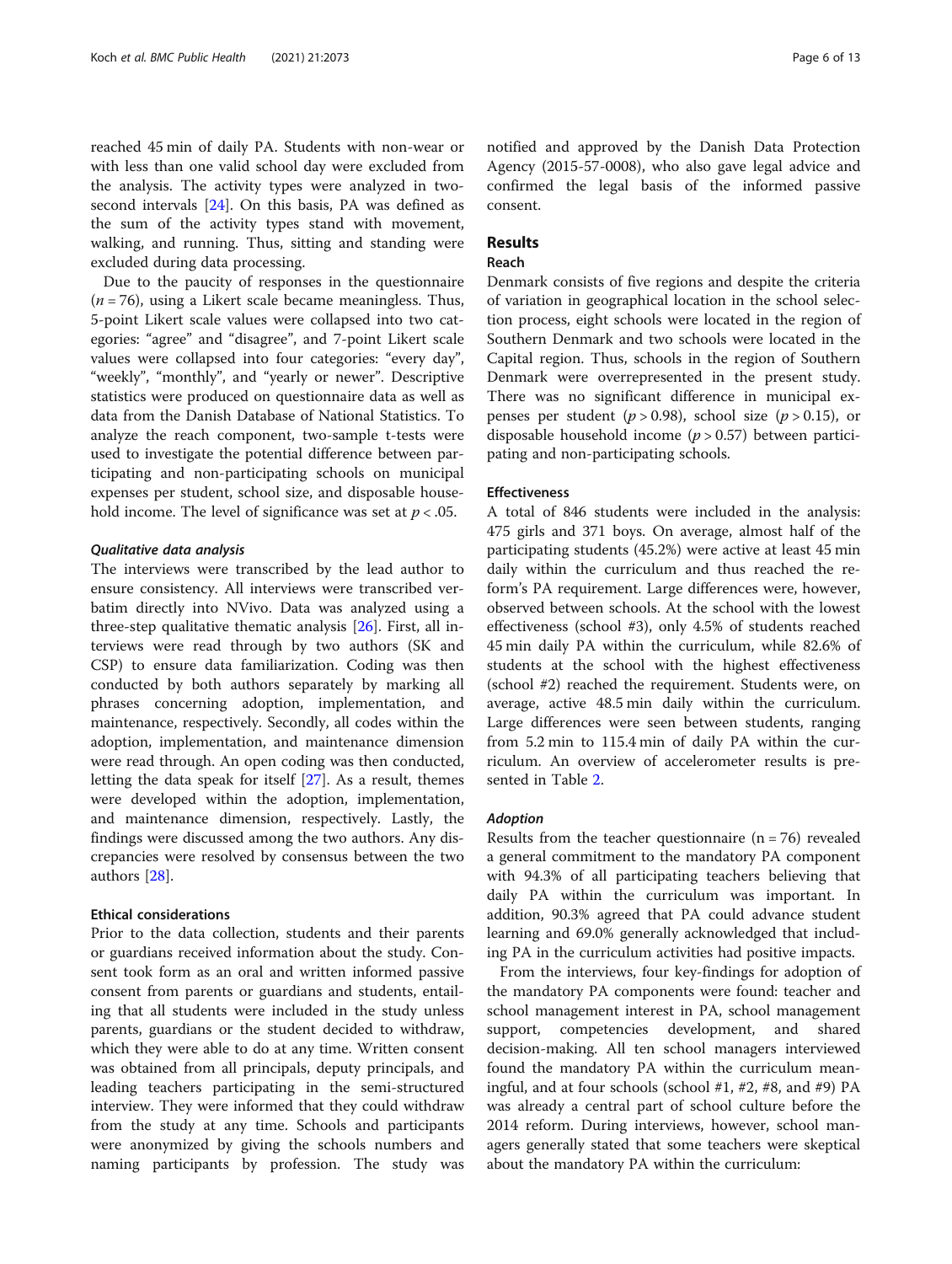reached 45 min of daily PA. Students with non-wear or with less than one valid school day were excluded from the analysis. The activity types were analyzed in twosecond intervals [[24\]](#page-11-0). On this basis, PA was defined as the sum of the activity types stand with movement, walking, and running. Thus, sitting and standing were excluded during data processing.

Due to the paucity of responses in the questionnaire  $(n = 76)$ , using a Likert scale became meaningless. Thus, 5-point Likert scale values were collapsed into two categories: "agree" and "disagree", and 7-point Likert scale values were collapsed into four categories: "every day", "weekly", "monthly", and "yearly or newer". Descriptive statistics were produced on questionnaire data as well as data from the Danish Database of National Statistics. To analyze the reach component, two-sample t-tests were used to investigate the potential difference between participating and non-participating schools on municipal expenses per student, school size, and disposable household income. The level of significance was set at  $p < .05$ .

# Qualitative data analysis

The interviews were transcribed by the lead author to ensure consistency. All interviews were transcribed verbatim directly into NVivo. Data was analyzed using a three-step qualitative thematic analysis [[26\]](#page-11-0). First, all interviews were read through by two authors (SK and CSP) to ensure data familiarization. Coding was then conducted by both authors separately by marking all phrases concerning adoption, implementation, and maintenance, respectively. Secondly, all codes within the adoption, implementation, and maintenance dimension were read through. An open coding was then conducted, letting the data speak for itself [\[27](#page-11-0)]. As a result, themes were developed within the adoption, implementation, and maintenance dimension, respectively. Lastly, the findings were discussed among the two authors. Any discrepancies were resolved by consensus between the two authors [[28](#page-11-0)].

# Ethical considerations

Prior to the data collection, students and their parents or guardians received information about the study. Consent took form as an oral and written informed passive consent from parents or guardians and students, entailing that all students were included in the study unless parents, guardians or the student decided to withdraw, which they were able to do at any time. Written consent was obtained from all principals, deputy principals, and leading teachers participating in the semi-structured interview. They were informed that they could withdraw from the study at any time. Schools and participants were anonymized by giving the schools numbers and naming participants by profession. The study was notified and approved by the Danish Data Protection Agency (2015-57-0008), who also gave legal advice and confirmed the legal basis of the informed passive consent.

# Results

# Reach

Denmark consists of five regions and despite the criteria of variation in geographical location in the school selection process, eight schools were located in the region of Southern Denmark and two schools were located in the Capital region. Thus, schools in the region of Southern Denmark were overrepresented in the present study. There was no significant difference in municipal expenses per student ( $p > 0.98$ ), school size ( $p > 0.15$ ), or disposable household income  $(p > 0.57)$  between participating and non-participating schools.

#### **Effectiveness**

A total of 846 students were included in the analysis: 475 girls and 371 boys. On average, almost half of the participating students (45.2%) were active at least 45 min daily within the curriculum and thus reached the reform's PA requirement. Large differences were, however, observed between schools. At the school with the lowest effectiveness (school #3), only 4.5% of students reached 45 min daily PA within the curriculum, while 82.6% of students at the school with the highest effectiveness (school #2) reached the requirement. Students were, on average, active 48.5 min daily within the curriculum. Large differences were seen between students, ranging from 5.2 min to 115.4 min of daily PA within the curriculum. An overview of accelerometer results is presented in Table [2.](#page-6-0)

# Adoption

Results from the teacher questionnaire  $(n = 76)$  revealed a general commitment to the mandatory PA component with 94.3% of all participating teachers believing that daily PA within the curriculum was important. In addition, 90.3% agreed that PA could advance student learning and 69.0% generally acknowledged that including PA in the curriculum activities had positive impacts.

From the interviews, four key-findings for adoption of the mandatory PA components were found: teacher and school management interest in PA, school management support, competencies development, and shared decision-making. All ten school managers interviewed found the mandatory PA within the curriculum meaningful, and at four schools (school #1, #2, #8, and #9) PA was already a central part of school culture before the 2014 reform. During interviews, however, school managers generally stated that some teachers were skeptical about the mandatory PA within the curriculum: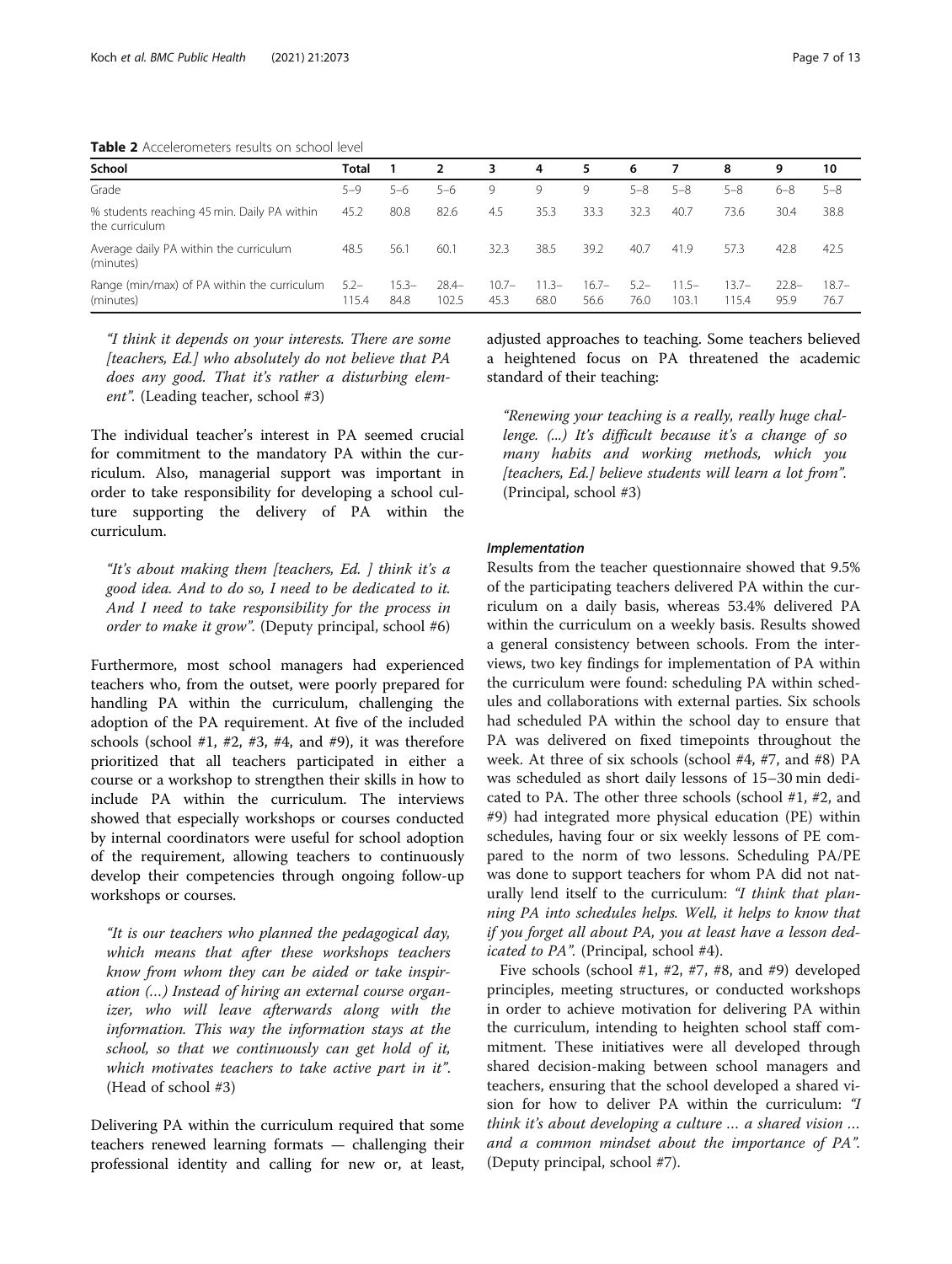<span id="page-6-0"></span>Table 2

Range (min/max) of PA within the curriculum

(minutes)

| <b>Table 2</b> Accelerometers results on school level         |         |      |       |      |      |      |         |         |         |         |         |  |  |
|---------------------------------------------------------------|---------|------|-------|------|------|------|---------|---------|---------|---------|---------|--|--|
| School                                                        | Total   |      |       | 3    | -4   | 5.   | 6       |         | 8       |         | 10      |  |  |
| Grade                                                         | $5 - 9$ | 5-6  | $5-6$ | 9    | 9    | 9    | $5 - 8$ | $5 - 8$ | $5 - 8$ | $6 - 8$ | $5 - 8$ |  |  |
| % students reaching 45 min. Daily PA within<br>the curriculum | 45.2    | 80.8 | 82.6  | 4.5  | 35.3 | 33.3 | 32.3    | 40.7    | 73.6    | 30.4    | 38.8    |  |  |
| Average daily PA within the curriculum<br>(minutes)           | 48.5    | 56.1 | 60.1  | 32.3 | 38.5 | 39.2 | 40.7    | 41.9    | 57.3    | 42.8    | 42.5    |  |  |

10.7– 45.3

11.3– 68.0

16.7– 56.6

5.2– 76.0

"I think it depends on your interests. There are some [teachers, Ed.] who absolutely do not believe that PA does any good. That it's rather a disturbing element". (Leading teacher, school #3)

5.2– 115.4 15.3– 84.8 28.4– 102.5

The individual teacher's interest in PA seemed crucial for commitment to the mandatory PA within the curriculum. Also, managerial support was important in order to take responsibility for developing a school culture supporting the delivery of PA within the curriculum.

"It's about making them [teachers, Ed. ] think it's a good idea. And to do so, I need to be dedicated to it. And I need to take responsibility for the process in order to make it grow". (Deputy principal, school #6)

Furthermore, most school managers had experienced teachers who, from the outset, were poorly prepared for handling PA within the curriculum, challenging the adoption of the PA requirement. At five of the included schools (school  $#1, #2, #3, #4, and #9$ ), it was therefore prioritized that all teachers participated in either a course or a workshop to strengthen their skills in how to include PA within the curriculum. The interviews showed that especially workshops or courses conducted by internal coordinators were useful for school adoption of the requirement, allowing teachers to continuously develop their competencies through ongoing follow-up workshops or courses.

"It is our teachers who planned the pedagogical day, which means that after these workshops teachers know from whom they can be aided or take inspiration (…) Instead of hiring an external course organizer, who will leave afterwards along with the information. This way the information stays at the school, so that we continuously can get hold of it, which motivates teachers to take active part in it". (Head of school #3)

Delivering PA within the curriculum required that some teachers renewed learning formats — challenging their professional identity and calling for new or, at least,

adjusted approaches to teaching. Some teachers believed a heightened focus on PA threatened the academic standard of their teaching:

11.5– 103.1

13.7– 115.4

22.8– 95.9

18.7– 76.7

"Renewing your teaching is a really, really huge challenge. (...) It's difficult because it's a change of so many habits and working methods, which you [teachers, Ed.] believe students will learn a lot from". (Principal, school #3)

# Implementation

Results from the teacher questionnaire showed that 9.5% of the participating teachers delivered PA within the curriculum on a daily basis, whereas 53.4% delivered PA within the curriculum on a weekly basis. Results showed a general consistency between schools. From the interviews, two key findings for implementation of PA within the curriculum were found: scheduling PA within schedules and collaborations with external parties. Six schools had scheduled PA within the school day to ensure that PA was delivered on fixed timepoints throughout the week. At three of six schools (school #4, #7, and #8) PA was scheduled as short daily lessons of 15–30 min dedicated to PA. The other three schools (school #1, #2, and #9) had integrated more physical education (PE) within schedules, having four or six weekly lessons of PE compared to the norm of two lessons. Scheduling PA/PE was done to support teachers for whom PA did not naturally lend itself to the curriculum: "I think that planning PA into schedules helps. Well, it helps to know that if you forget all about PA, you at least have a lesson dedicated to PA". (Principal, school #4).

Five schools (school #1, #2, #7, #8, and #9) developed principles, meeting structures, or conducted workshops in order to achieve motivation for delivering PA within the curriculum, intending to heighten school staff commitment. These initiatives were all developed through shared decision-making between school managers and teachers, ensuring that the school developed a shared vision for how to deliver PA within the curriculum: "I think it's about developing a culture … a shared vision … and a common mindset about the importance of PA". (Deputy principal, school #7).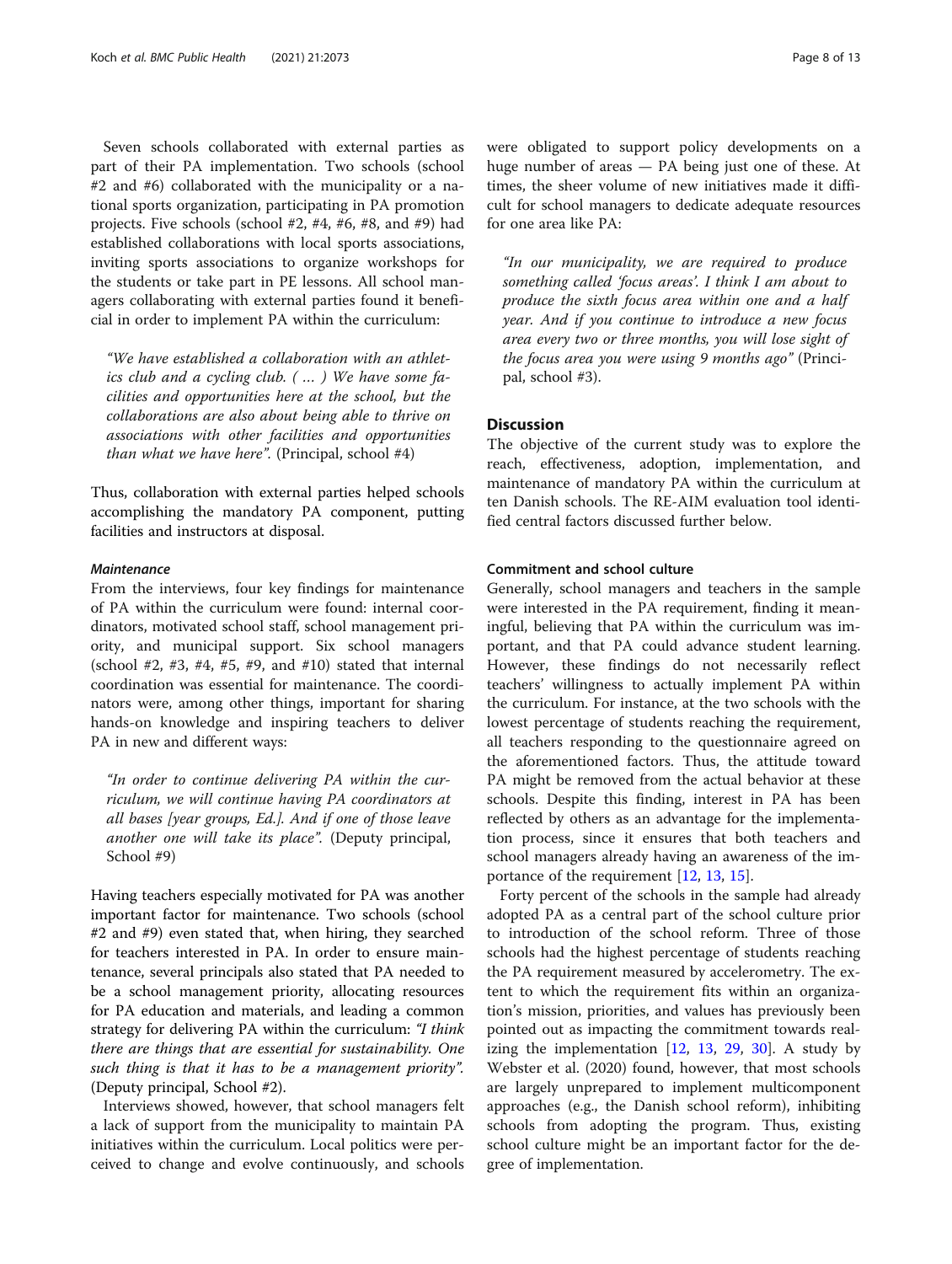Seven schools collaborated with external parties as part of their PA implementation. Two schools (school #2 and #6) collaborated with the municipality or a national sports organization, participating in PA promotion projects. Five schools (school #2, #4, #6, #8, and #9) had established collaborations with local sports associations, inviting sports associations to organize workshops for the students or take part in PE lessons. All school managers collaborating with external parties found it beneficial in order to implement PA within the curriculum:

"We have established a collaboration with an athletics club and a cycling club. ( … ) We have some facilities and opportunities here at the school, but the collaborations are also about being able to thrive on associations with other facilities and opportunities than what we have here". (Principal, school  $#4$ )

Thus, collaboration with external parties helped schools accomplishing the mandatory PA component, putting facilities and instructors at disposal.

# **Maintenance**

From the interviews, four key findings for maintenance of PA within the curriculum were found: internal coordinators, motivated school staff, school management priority, and municipal support. Six school managers (school #2, #3, #4, #5, #9, and #10) stated that internal coordination was essential for maintenance. The coordinators were, among other things, important for sharing hands-on knowledge and inspiring teachers to deliver PA in new and different ways:

"In order to continue delivering PA within the curriculum, we will continue having PA coordinators at all bases [year groups, Ed.]. And if one of those leave another one will take its place". (Deputy principal, School #9)

Having teachers especially motivated for PA was another important factor for maintenance. Two schools (school #2 and #9) even stated that, when hiring, they searched for teachers interested in PA. In order to ensure maintenance, several principals also stated that PA needed to be a school management priority, allocating resources for PA education and materials, and leading a common strategy for delivering PA within the curriculum: "I think there are things that are essential for sustainability. One such thing is that it has to be a management priority". (Deputy principal, School #2).

Interviews showed, however, that school managers felt a lack of support from the municipality to maintain PA initiatives within the curriculum. Local politics were perceived to change and evolve continuously, and schools

were obligated to support policy developments on a huge number of areas — PA being just one of these. At times, the sheer volume of new initiatives made it difficult for school managers to dedicate adequate resources for one area like PA:

"In our municipality, we are required to produce something called 'focus areas'. I think I am about to produce the sixth focus area within one and a half year. And if you continue to introduce a new focus area every two or three months, you will lose sight of the focus area you were using 9 months ago" (Principal, school #3).

# **Discussion**

The objective of the current study was to explore the reach, effectiveness, adoption, implementation, and maintenance of mandatory PA within the curriculum at ten Danish schools. The RE-AIM evaluation tool identified central factors discussed further below.

# Commitment and school culture

Generally, school managers and teachers in the sample were interested in the PA requirement, finding it meaningful, believing that PA within the curriculum was important, and that PA could advance student learning. However, these findings do not necessarily reflect teachers' willingness to actually implement PA within the curriculum. For instance, at the two schools with the lowest percentage of students reaching the requirement, all teachers responding to the questionnaire agreed on the aforementioned factors. Thus, the attitude toward PA might be removed from the actual behavior at these schools. Despite this finding, interest in PA has been reflected by others as an advantage for the implementation process, since it ensures that both teachers and school managers already having an awareness of the importance of the requirement [[12,](#page-11-0) [13](#page-11-0), [15](#page-11-0)].

Forty percent of the schools in the sample had already adopted PA as a central part of the school culture prior to introduction of the school reform. Three of those schools had the highest percentage of students reaching the PA requirement measured by accelerometry. The extent to which the requirement fits within an organization's mission, priorities, and values has previously been pointed out as impacting the commitment towards realizing the implementation  $[12, 13, 29, 30]$  $[12, 13, 29, 30]$  $[12, 13, 29, 30]$  $[12, 13, 29, 30]$  $[12, 13, 29, 30]$  $[12, 13, 29, 30]$  $[12, 13, 29, 30]$  $[12, 13, 29, 30]$  $[12, 13, 29, 30]$ . A study by Webster et al. (2020) found, however, that most schools are largely unprepared to implement multicomponent approaches (e.g., the Danish school reform), inhibiting schools from adopting the program. Thus, existing school culture might be an important factor for the degree of implementation.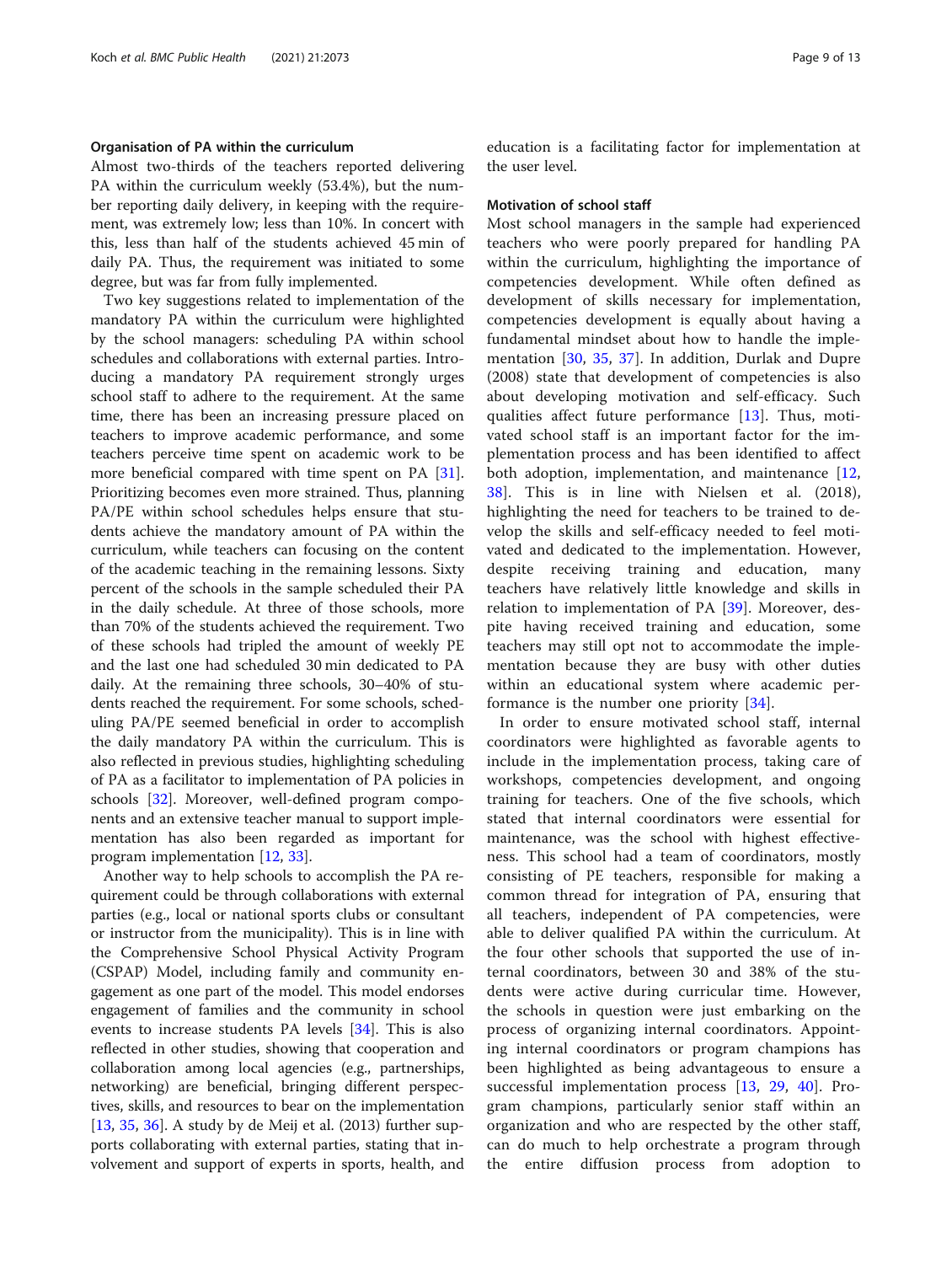#### Organisation of PA within the curriculum

Almost two-thirds of the teachers reported delivering PA within the curriculum weekly (53.4%), but the number reporting daily delivery, in keeping with the requirement, was extremely low; less than 10%. In concert with this, less than half of the students achieved 45 min of daily PA. Thus, the requirement was initiated to some degree, but was far from fully implemented.

Two key suggestions related to implementation of the mandatory PA within the curriculum were highlighted by the school managers: scheduling PA within school schedules and collaborations with external parties. Introducing a mandatory PA requirement strongly urges school staff to adhere to the requirement. At the same time, there has been an increasing pressure placed on teachers to improve academic performance, and some teachers perceive time spent on academic work to be more beneficial compared with time spent on PA [\[31](#page-11-0)]. Prioritizing becomes even more strained. Thus, planning PA/PE within school schedules helps ensure that students achieve the mandatory amount of PA within the curriculum, while teachers can focusing on the content of the academic teaching in the remaining lessons. Sixty percent of the schools in the sample scheduled their PA in the daily schedule. At three of those schools, more than 70% of the students achieved the requirement. Two of these schools had tripled the amount of weekly PE and the last one had scheduled 30 min dedicated to PA daily. At the remaining three schools, 30–40% of students reached the requirement. For some schools, scheduling PA/PE seemed beneficial in order to accomplish the daily mandatory PA within the curriculum. This is also reflected in previous studies, highlighting scheduling of PA as a facilitator to implementation of PA policies in schools [\[32](#page-11-0)]. Moreover, well-defined program components and an extensive teacher manual to support implementation has also been regarded as important for program implementation [\[12](#page-11-0), [33](#page-11-0)].

Another way to help schools to accomplish the PA requirement could be through collaborations with external parties (e.g., local or national sports clubs or consultant or instructor from the municipality). This is in line with the Comprehensive School Physical Activity Program (CSPAP) Model, including family and community engagement as one part of the model. This model endorses engagement of families and the community in school events to increase students PA levels [[34\]](#page-11-0). This is also reflected in other studies, showing that cooperation and collaboration among local agencies (e.g., partnerships, networking) are beneficial, bringing different perspectives, skills, and resources to bear on the implementation [[13,](#page-11-0) [35,](#page-11-0) [36\]](#page-11-0). A study by de Meij et al. (2013) further supports collaborating with external parties, stating that involvement and support of experts in sports, health, and

education is a facilitating factor for implementation at the user level.

#### Motivation of school staff

Most school managers in the sample had experienced teachers who were poorly prepared for handling PA within the curriculum, highlighting the importance of competencies development. While often defined as development of skills necessary for implementation, competencies development is equally about having a fundamental mindset about how to handle the implementation [[30,](#page-11-0) [35,](#page-11-0) [37](#page-11-0)]. In addition, Durlak and Dupre (2008) state that development of competencies is also about developing motivation and self-efficacy. Such qualities affect future performance [[13](#page-11-0)]. Thus, motivated school staff is an important factor for the implementation process and has been identified to affect both adoption, implementation, and maintenance [\[12](#page-11-0), [38\]](#page-11-0). This is in line with Nielsen et al. (2018), highlighting the need for teachers to be trained to develop the skills and self-efficacy needed to feel motivated and dedicated to the implementation. However, despite receiving training and education, many teachers have relatively little knowledge and skills in relation to implementation of PA [[39\]](#page-11-0). Moreover, despite having received training and education, some teachers may still opt not to accommodate the implementation because they are busy with other duties within an educational system where academic performance is the number one priority [\[34](#page-11-0)].

In order to ensure motivated school staff, internal coordinators were highlighted as favorable agents to include in the implementation process, taking care of workshops, competencies development, and ongoing training for teachers. One of the five schools, which stated that internal coordinators were essential for maintenance, was the school with highest effectiveness. This school had a team of coordinators, mostly consisting of PE teachers, responsible for making a common thread for integration of PA, ensuring that all teachers, independent of PA competencies, were able to deliver qualified PA within the curriculum. At the four other schools that supported the use of internal coordinators, between 30 and 38% of the students were active during curricular time. However, the schools in question were just embarking on the process of organizing internal coordinators. Appointing internal coordinators or program champions has been highlighted as being advantageous to ensure a successful implementation process [\[13](#page-11-0), [29](#page-11-0), [40](#page-12-0)]. Program champions, particularly senior staff within an organization and who are respected by the other staff, can do much to help orchestrate a program through the entire diffusion process from adoption to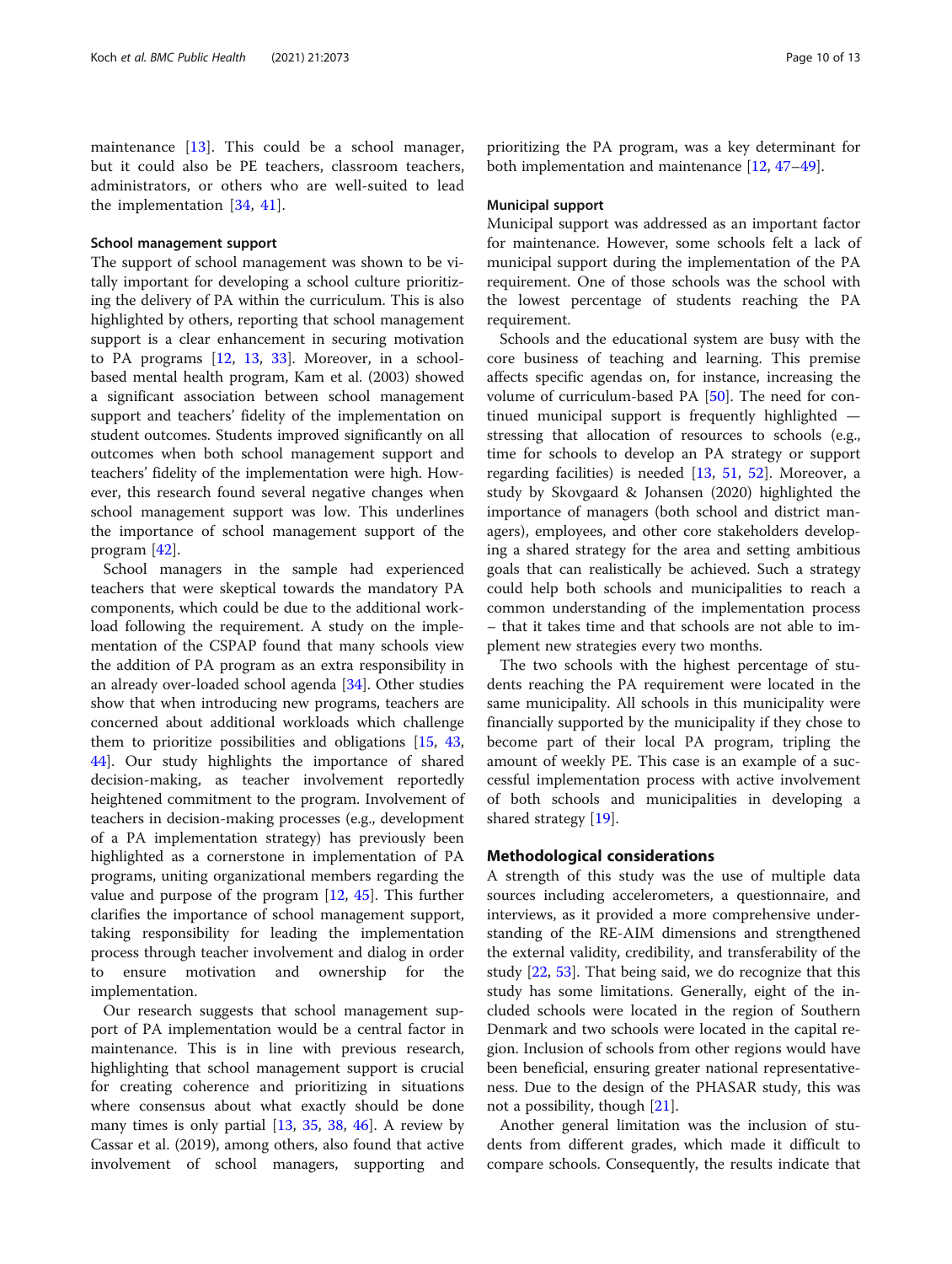maintenance [[13](#page-11-0)]. This could be a school manager, but it could also be PE teachers, classroom teachers, administrators, or others who are well-suited to lead the implementation [[34,](#page-11-0) [41](#page-12-0)].

# School management support

The support of school management was shown to be vitally important for developing a school culture prioritizing the delivery of PA within the curriculum. This is also highlighted by others, reporting that school management support is a clear enhancement in securing motivation to PA programs [\[12](#page-11-0), [13](#page-11-0), [33\]](#page-11-0). Moreover, in a schoolbased mental health program, Kam et al. (2003) showed a significant association between school management support and teachers' fidelity of the implementation on student outcomes. Students improved significantly on all outcomes when both school management support and teachers' fidelity of the implementation were high. However, this research found several negative changes when school management support was low. This underlines the importance of school management support of the program [[42\]](#page-12-0).

School managers in the sample had experienced teachers that were skeptical towards the mandatory PA components, which could be due to the additional workload following the requirement. A study on the implementation of the CSPAP found that many schools view the addition of PA program as an extra responsibility in an already over-loaded school agenda [[34\]](#page-11-0). Other studies show that when introducing new programs, teachers are concerned about additional workloads which challenge them to prioritize possibilities and obligations [[15,](#page-11-0) [43](#page-12-0), [44\]](#page-12-0). Our study highlights the importance of shared decision-making, as teacher involvement reportedly heightened commitment to the program. Involvement of teachers in decision-making processes (e.g., development of a PA implementation strategy) has previously been highlighted as a cornerstone in implementation of PA programs, uniting organizational members regarding the value and purpose of the program [\[12,](#page-11-0) [45](#page-12-0)]. This further clarifies the importance of school management support, taking responsibility for leading the implementation process through teacher involvement and dialog in order to ensure motivation and ownership for the implementation.

Our research suggests that school management support of PA implementation would be a central factor in maintenance. This is in line with previous research, highlighting that school management support is crucial for creating coherence and prioritizing in situations where consensus about what exactly should be done many times is only partial [\[13](#page-11-0), [35](#page-11-0), [38,](#page-11-0) [46\]](#page-12-0). A review by Cassar et al. (2019), among others, also found that active involvement of school managers, supporting and

prioritizing the PA program, was a key determinant for both implementation and maintenance [\[12](#page-11-0), [47](#page-12-0)–[49\]](#page-12-0).

#### Municipal support

Municipal support was addressed as an important factor for maintenance. However, some schools felt a lack of municipal support during the implementation of the PA requirement. One of those schools was the school with the lowest percentage of students reaching the PA requirement.

Schools and the educational system are busy with the core business of teaching and learning. This premise affects specific agendas on, for instance, increasing the volume of curriculum-based PA [[50\]](#page-12-0). The need for continued municipal support is frequently highlighted stressing that allocation of resources to schools (e.g., time for schools to develop an PA strategy or support regarding facilities) is needed [[13,](#page-11-0) [51,](#page-12-0) [52](#page-12-0)]. Moreover, a study by Skovgaard & Johansen (2020) highlighted the importance of managers (both school and district managers), employees, and other core stakeholders developing a shared strategy for the area and setting ambitious goals that can realistically be achieved. Such a strategy could help both schools and municipalities to reach a common understanding of the implementation process – that it takes time and that schools are not able to implement new strategies every two months.

The two schools with the highest percentage of students reaching the PA requirement were located in the same municipality. All schools in this municipality were financially supported by the municipality if they chose to become part of their local PA program, tripling the amount of weekly PE. This case is an example of a successful implementation process with active involvement of both schools and municipalities in developing a shared strategy [\[19](#page-11-0)].

# Methodological considerations

A strength of this study was the use of multiple data sources including accelerometers, a questionnaire, and interviews, as it provided a more comprehensive understanding of the RE-AIM dimensions and strengthened the external validity, credibility, and transferability of the study [[22,](#page-11-0) [53\]](#page-12-0). That being said, we do recognize that this study has some limitations. Generally, eight of the included schools were located in the region of Southern Denmark and two schools were located in the capital region. Inclusion of schools from other regions would have been beneficial, ensuring greater national representativeness. Due to the design of the PHASAR study, this was not a possibility, though [[21](#page-11-0)].

Another general limitation was the inclusion of students from different grades, which made it difficult to compare schools. Consequently, the results indicate that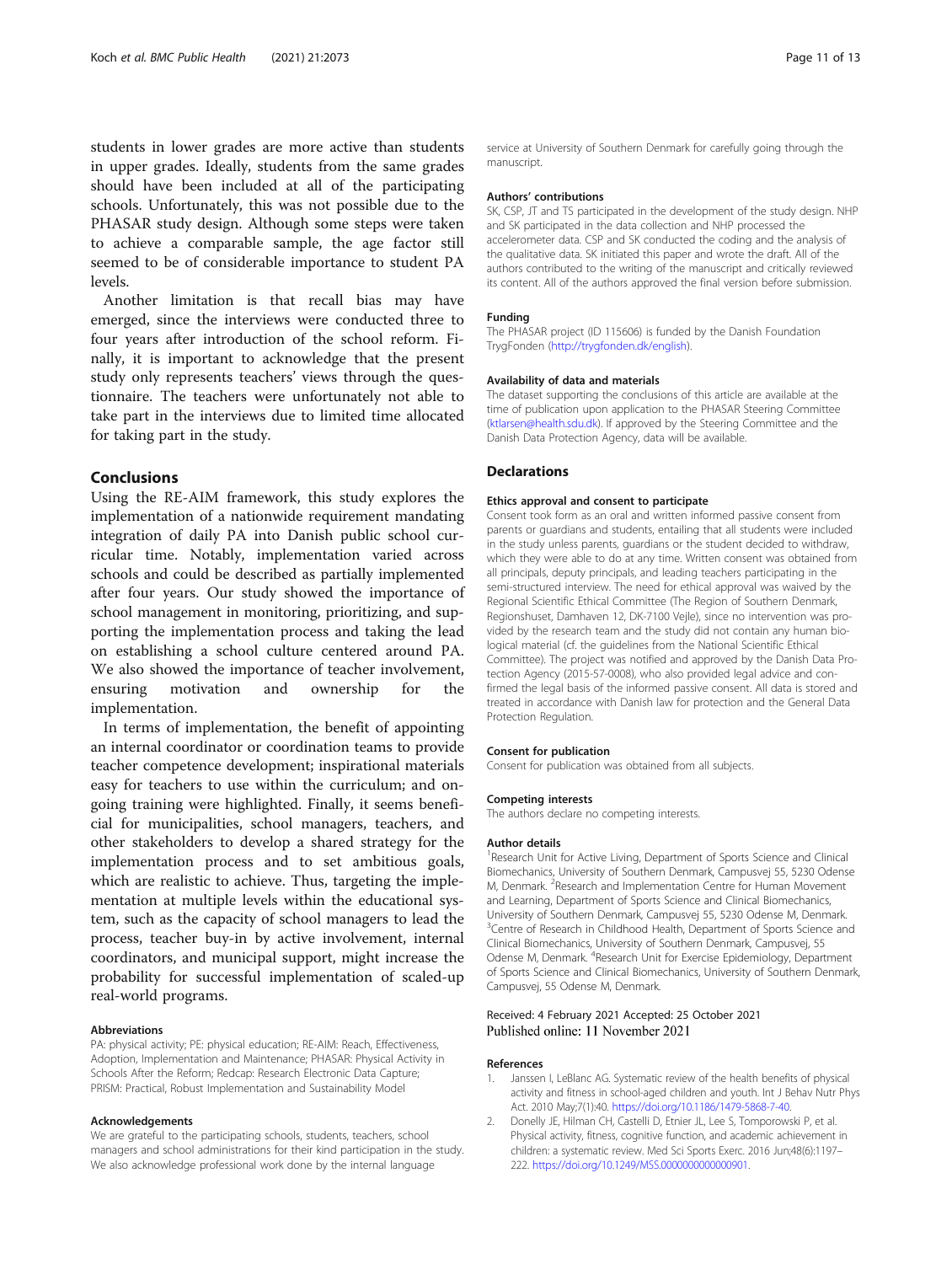<span id="page-10-0"></span>students in lower grades are more active than students in upper grades. Ideally, students from the same grades should have been included at all of the participating schools. Unfortunately, this was not possible due to the PHASAR study design. Although some steps were taken to achieve a comparable sample, the age factor still seemed to be of considerable importance to student PA levels.

Another limitation is that recall bias may have emerged, since the interviews were conducted three to four years after introduction of the school reform. Finally, it is important to acknowledge that the present study only represents teachers' views through the questionnaire. The teachers were unfortunately not able to take part in the interviews due to limited time allocated for taking part in the study.

# Conclusions

Using the RE-AIM framework, this study explores the implementation of a nationwide requirement mandating integration of daily PA into Danish public school curricular time. Notably, implementation varied across schools and could be described as partially implemented after four years. Our study showed the importance of school management in monitoring, prioritizing, and supporting the implementation process and taking the lead on establishing a school culture centered around PA. We also showed the importance of teacher involvement, ensuring motivation and ownership for the implementation.

In terms of implementation, the benefit of appointing an internal coordinator or coordination teams to provide teacher competence development; inspirational materials easy for teachers to use within the curriculum; and ongoing training were highlighted. Finally, it seems beneficial for municipalities, school managers, teachers, and other stakeholders to develop a shared strategy for the implementation process and to set ambitious goals, which are realistic to achieve. Thus, targeting the implementation at multiple levels within the educational system, such as the capacity of school managers to lead the process, teacher buy-in by active involvement, internal coordinators, and municipal support, might increase the probability for successful implementation of scaled-up real-world programs.

#### Abbreviations

PA: physical activity; PE: physical education; RE-AIM: Reach, Effectiveness, Adoption, Implementation and Maintenance; PHASAR: Physical Activity in Schools After the Reform; Redcap: Research Electronic Data Capture; PRISM: Practical, Robust Implementation and Sustainability Model

#### Acknowledgements

We are grateful to the participating schools, students, teachers, school managers and school administrations for their kind participation in the study. We also acknowledge professional work done by the internal language

service at University of Southern Denmark for carefully going through the manuscript.

#### Authors' contributions

SK, CSP, JT and TS participated in the development of the study design. NHP and SK participated in the data collection and NHP processed the accelerometer data. CSP and SK conducted the coding and the analysis of the qualitative data. SK initiated this paper and wrote the draft. All of the authors contributed to the writing of the manuscript and critically reviewed its content. All of the authors approved the final version before submission.

#### Funding

The PHASAR project (ID 115606) is funded by the Danish Foundation TrygFonden ([http://trygfonden.dk/english\)](http://trygfonden.dk/english).

#### Availability of data and materials

The dataset supporting the conclusions of this article are available at the time of publication upon application to the PHASAR Steering Committee ([ktlarsen@health.sdu.dk](mailto:ktlarsen@health.sdu.dk)). If approved by the Steering Committee and the Danish Data Protection Agency, data will be available.

#### **Declarations**

#### Ethics approval and consent to participate

Consent took form as an oral and written informed passive consent from parents or guardians and students, entailing that all students were included in the study unless parents, guardians or the student decided to withdraw, which they were able to do at any time. Written consent was obtained from all principals, deputy principals, and leading teachers participating in the semi-structured interview. The need for ethical approval was waived by the Regional Scientific Ethical Committee (The Region of Southern Denmark, Regionshuset, Damhaven 12, DK-7100 Vejle), since no intervention was provided by the research team and the study did not contain any human biological material (cf. the guidelines from the National Scientific Ethical Committee). The project was notified and approved by the Danish Data Protection Agency (2015-57-0008), who also provided legal advice and confirmed the legal basis of the informed passive consent. All data is stored and treated in accordance with Danish law for protection and the General Data Protection Regulation.

#### Consent for publication

Consent for publication was obtained from all subjects.

#### Competing interests

The authors declare no competing interests.

#### Author details

<sup>1</sup> Research Unit for Active Living, Department of Sports Science and Clinical Biomechanics, University of Southern Denmark, Campusvej 55, 5230 Odense M, Denmark. <sup>2</sup>Research and Implementation Centre for Human Movement and Learning, Department of Sports Science and Clinical Biomechanics, University of Southern Denmark, Campusvej 55, 5230 Odense M, Denmark. <sup>3</sup> Centre of Research in Childhood Health, Department of Sports Science and Clinical Biomechanics, University of Southern Denmark, Campusvej, 55 Odense M, Denmark. <sup>4</sup>Research Unit for Exercise Epidemiology, Department of Sports Science and Clinical Biomechanics, University of Southern Denmark, Campusvej, 55 Odense M, Denmark.

#### Received: 4 February 2021 Accepted: 25 October 2021 Published online: 11 November 2021

#### References

- 1. Janssen I, LeBlanc AG. Systematic review of the health benefits of physical activity and fitness in school-aged children and youth. Int J Behav Nutr Phys Act. 2010 May;7(1):40. <https://doi.org/10.1186/1479-5868-7-40>.
- 2. Donelly JE, Hilman CH, Castelli D, Etnier JL, Lee S, Tomporowski P, et al. Physical activity, fitness, cognitive function, and academic achievement in children: a systematic review. Med Sci Sports Exerc. 2016 Jun;48(6):1197– 222. <https://doi.org/10.1249/MSS.0000000000000901>.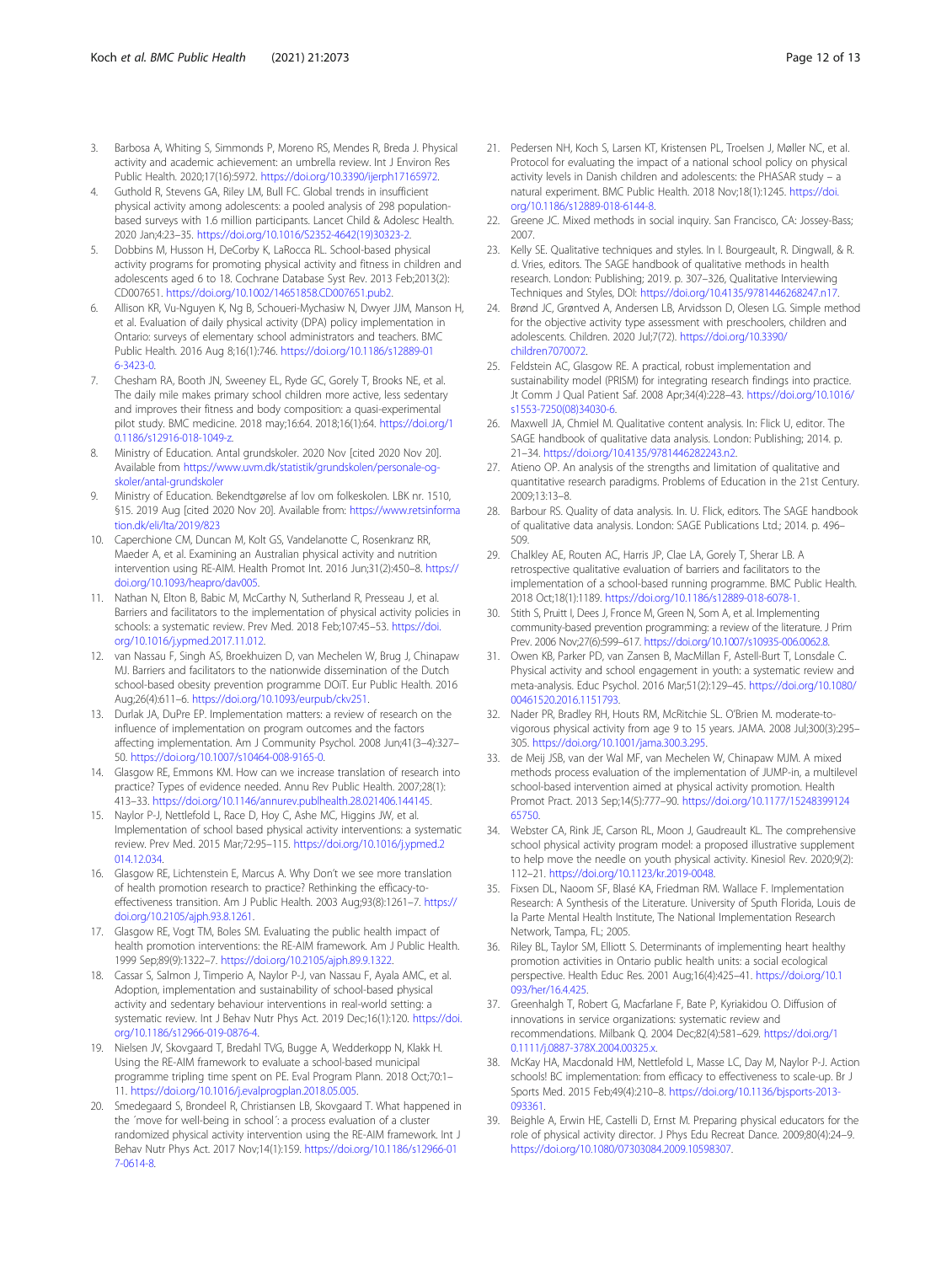- <span id="page-11-0"></span>3. Barbosa A, Whiting S, Simmonds P, Moreno RS, Mendes R, Breda J. Physical activity and academic achievement: an umbrella review. Int J Environ Res Public Health. 2020;17(16):5972. [https://doi.org/10.3390/ijerph17165972.](https://doi.org/10.3390/ijerph17165972)
- 4. Guthold R, Stevens GA, Riley LM, Bull FC. Global trends in insufficient physical activity among adolescents: a pooled analysis of 298 populationbased surveys with 1.6 million participants. Lancet Child & Adolesc Health. 2020 Jan;4:23–35. [https://doi.org/10.1016/S2352-4642\(19\)30323-2](https://doi.org/10.1016/S2352-4642(19)30323-2).
- 5. Dobbins M, Husson H, DeCorby K, LaRocca RL. School-based physical activity programs for promoting physical activity and fitness in children and adolescents aged 6 to 18. Cochrane Database Syst Rev. 2013 Feb;2013(2): CD007651. [https://doi.org/10.1002/14651858.CD007651.pub2.](https://doi.org/10.1002/14651858.CD007651.pub2)
- 6. Allison KR, Vu-Nguyen K, Ng B, Schoueri-Mychasiw N, Dwyer JJM, Manson H, et al. Evaluation of daily physical activity (DPA) policy implementation in Ontario: surveys of elementary school administrators and teachers. BMC Public Health. 2016 Aug 8;16(1):746. [https://doi.org/10.1186/s12889-01](https://doi.org/10.1186/s12889-016-3423-0) [6-3423-0](https://doi.org/10.1186/s12889-016-3423-0).
- 7. Chesham RA, Booth JN, Sweeney EL, Ryde GC, Gorely T, Brooks NE, et al. The daily mile makes primary school children more active, less sedentary and improves their fitness and body composition: a quasi-experimental pilot study. BMC medicine. 2018 may;16:64. 2018;16(1):64. [https://doi.org/1](https://doi.org/10.1186/s12916-018-1049-z) [0.1186/s12916-018-1049-z.](https://doi.org/10.1186/s12916-018-1049-z)
- Ministry of Education. Antal grundskoler. 2020 Nov [cited 2020 Nov 20]. Available from [https://www.uvm.dk/statistik/grundskolen/personale-og](https://www.uvm.dk/statistik/grundskolen/personale-og-skoler/antal-grundskoler)[skoler/antal-grundskoler](https://www.uvm.dk/statistik/grundskolen/personale-og-skoler/antal-grundskoler)
- 9. Ministry of Education. Bekendtgørelse af lov om folkeskolen. LBK nr. 1510, §15. 2019 Aug [cited 2020 Nov 20]. Available from: [https://www.retsinforma](https://www.retsinformation.dk/eli/lta/2019/823) [tion.dk/eli/lta/2019/823](https://www.retsinformation.dk/eli/lta/2019/823)
- 10. Caperchione CM, Duncan M, Kolt GS, Vandelanotte C, Rosenkranz RR, Maeder A, et al. Examining an Australian physical activity and nutrition intervention using RE-AIM. Health Promot Int. 2016 Jun;31(2):450–8. [https://](https://doi.org/10.1093/heapro/dav005) [doi.org/10.1093/heapro/dav005](https://doi.org/10.1093/heapro/dav005).
- 11. Nathan N, Elton B, Babic M, McCarthy N, Sutherland R, Presseau J, et al. Barriers and facilitators to the implementation of physical activity policies in schools: a systematic review. Prev Med. 2018 Feb;107:45–53. [https://doi.](https://doi.org/10.1016/j.ypmed.2017.11.012) [org/10.1016/j.ypmed.2017.11.012.](https://doi.org/10.1016/j.ypmed.2017.11.012)
- 12. van Nassau F, Singh AS, Broekhuizen D, van Mechelen W, Brug J, Chinapaw MJ. Barriers and facilitators to the nationwide dissemination of the Dutch school-based obesity prevention programme DOiT. Eur Public Health. 2016 Aug;26(4):611–6. <https://doi.org/10.1093/eurpub/ckv251>.
- 13. Durlak JA, DuPre EP. Implementation matters: a review of research on the influence of implementation on program outcomes and the factors affecting implementation. Am J Community Psychol. 2008 Jun;41(3–4):327– 50. <https://doi.org/10.1007/s10464-008-9165-0>.
- 14. Glasgow RE, Emmons KM. How can we increase translation of research into practice? Types of evidence needed. Annu Rev Public Health. 2007;28(1): 413–33. <https://doi.org/10.1146/annurev.publhealth.28.021406.144145>.
- 15. Naylor P-J, Nettlefold L, Race D, Hoy C, Ashe MC, Higgins JW, et al. Implementation of school based physical activity interventions: a systematic review. Prev Med. 2015 Mar;72:95–115. [https://doi.org/10.1016/j.ypmed.2](https://doi.org/10.1016/j.ypmed.2014.12.034) [014.12.034](https://doi.org/10.1016/j.ypmed.2014.12.034).
- 16. Glasgow RE, Lichtenstein E, Marcus A. Why Don't we see more translation of health promotion research to practice? Rethinking the efficacy-toeffectiveness transition. Am J Public Health. 2003 Aug;93(8):1261–7. [https://](https://doi.org/10.2105/ajph.93.8.1261) [doi.org/10.2105/ajph.93.8.1261](https://doi.org/10.2105/ajph.93.8.1261).
- 17. Glasgow RE, Vogt TM, Boles SM. Evaluating the public health impact of health promotion interventions: the RE-AIM framework. Am J Public Health. 1999 Sep;89(9):1322–7. <https://doi.org/10.2105/ajph.89.9.1322>.
- 18. Cassar S, Salmon J, Timperio A, Naylor P-J, van Nassau F, Ayala AMC, et al. Adoption, implementation and sustainability of school-based physical activity and sedentary behaviour interventions in real-world setting: a systematic review. Int J Behav Nutr Phys Act. 2019 Dec;16(1):120. [https://doi.](https://doi.org/10.1186/s12966-019-0876-4) [org/10.1186/s12966-019-0876-4](https://doi.org/10.1186/s12966-019-0876-4).
- 19. Nielsen JV, Skovgaard T, Bredahl TVG, Bugge A, Wedderkopp N, Klakk H. Using the RE-AIM framework to evaluate a school-based municipal programme tripling time spent on PE. Eval Program Plann. 2018 Oct;70:1– 11. <https://doi.org/10.1016/j.evalprogplan.2018.05.005>.
- 20. Smedegaard S, Brondeel R, Christiansen LB, Skovgaard T. What happened in the ´move for well-being in school´: a process evaluation of a cluster randomized physical activity intervention using the RE-AIM framework. Int J Behav Nutr Phys Act. 2017 Nov;14(1):159. [https://doi.org/10.1186/s12966-01](https://doi.org/10.1186/s12966-017-0614-8) [7-0614-8](https://doi.org/10.1186/s12966-017-0614-8).
- 21. Pedersen NH, Koch S, Larsen KT, Kristensen PL, Troelsen J, Møller NC, et al. Protocol for evaluating the impact of a national school policy on physical activity levels in Danish children and adolescents: the PHASAR study – a natural experiment. BMC Public Health. 2018 Nov;18(1):1245. [https://doi.](https://doi.org/10.1186/s12889-018-6144-8) [org/10.1186/s12889-018-6144-8](https://doi.org/10.1186/s12889-018-6144-8).
- 22. Greene JC. Mixed methods in social inquiry. San Francisco, CA: Jossey-Bass; 2007.
- 23. Kelly SE. Qualitative techniques and styles. In I. Bourgeault, R. Dingwall, & R. d. Vries, editors. The SAGE handbook of qualitative methods in health research. London: Publishing; 2019. p. 307–326, Qualitative Interviewing Techniques and Styles, DOI: <https://doi.org/10.4135/9781446268247.n17>.
- 24. Brønd JC, Grøntved A, Andersen LB, Arvidsson D, Olesen LG. Simple method for the objective activity type assessment with preschoolers, children and adolescents. Children. 2020 Jul;7(72). [https://doi.org/10.3390/](https://doi.org/10.3390/children7070072) [children7070072.](https://doi.org/10.3390/children7070072)
- 25. Feldstein AC, Glasgow RE. A practical, robust implementation and sustainability model (PRISM) for integrating research findings into practice. Jt Comm J Qual Patient Saf. 2008 Apr;34(4):228–43. [https://doi.org/10.1016/](https://doi.org/10.1016/s1553-7250(08)34030-6) [s1553-7250\(08\)34030-6.](https://doi.org/10.1016/s1553-7250(08)34030-6)
- 26. Maxwell JA, Chmiel M. Qualitative content analysis. In: Flick U, editor. The SAGE handbook of qualitative data analysis. London: Publishing; 2014. p. 21–34. <https://doi.org/10.4135/9781446282243.n2>.
- 27. Atieno OP. An analysis of the strengths and limitation of qualitative and quantitative research paradigms. Problems of Education in the 21st Century. 2009;13:13–8.
- 28. Barbour RS. Quality of data analysis. In. U. Flick, editors. The SAGE handbook of qualitative data analysis. London: SAGE Publications Ltd.; 2014. p. 496– 509.
- 29. Chalkley AE, Routen AC, Harris JP, Clae LA, Gorely T, Sherar LB. A retrospective qualitative evaluation of barriers and facilitators to the implementation of a school-based running programme. BMC Public Health. 2018 Oct;18(1):1189. <https://doi.org/10.1186/s12889-018-6078-1>.
- 30. Stith S, Pruitt I, Dees J, Fronce M, Green N, Som A, et al. Implementing community-based prevention programming: a review of the literature. J Prim Prev. 2006 Nov;27(6):599–617. <https://doi.org/10.1007/s10935-006.0062.8>.
- 31. Owen KB, Parker PD, van Zansen B, MacMillan F, Astell-Burt T, Lonsdale C. Physical activity and school engagement in youth: a systematic review and meta-analysis. Educ Psychol. 2016 Mar;51(2):129–45. [https://doi.org/10.1080/](https://doi.org/10.1080/00461520.2016.1151793) [00461520.2016.1151793.](https://doi.org/10.1080/00461520.2016.1151793)
- 32. Nader PR, Bradley RH, Houts RM, McRitchie SL. O'Brien M. moderate-tovigorous physical activity from age 9 to 15 years. JAMA. 2008 Jul;300(3):295– 305. [https://doi.org/10.1001/jama.300.3.295.](https://doi.org/10.1001/jama.300.3.295)
- 33. de Meij JSB, van der Wal MF, van Mechelen W, Chinapaw MJM. A mixed methods process evaluation of the implementation of JUMP-in, a multilevel school-based intervention aimed at physical activity promotion. Health Promot Pract. 2013 Sep;14(5):777–90. [https://doi.org/10.1177/15248399124](https://doi.org/10.1177/1524839912465750) [65750.](https://doi.org/10.1177/1524839912465750)
- 34. Webster CA, Rink JE, Carson RL, Moon J, Gaudreault KL. The comprehensive school physical activity program model: a proposed illustrative supplement to help move the needle on youth physical activity. Kinesiol Rev. 2020;9(2): 112–21. [https://doi.org/10.1123/kr.2019-0048.](https://doi.org/10.1123/kr.2019-0048)
- 35. Fixsen DL, Naoom SF, Blasé KA, Friedman RM. Wallace F. Implementation Research: A Synthesis of the Literature. University of Sputh Florida, Louis de la Parte Mental Health Institute, The National Implementation Research Network, Tampa, FL; 2005.
- 36. Riley BL, Taylor SM, Elliott S. Determinants of implementing heart healthy promotion activities in Ontario public health units: a social ecological perspective. Health Educ Res. 2001 Aug;16(4):425–41. [https://doi.org/10.1](https://doi.org/10.1093/her/16.4.425) [093/her/16.4.425.](https://doi.org/10.1093/her/16.4.425)
- 37. Greenhalgh T, Robert G, Macfarlane F, Bate P, Kyriakidou O. Diffusion of innovations in service organizations: systematic review and recommendations. Milbank Q. 2004 Dec;82(4):581–629. [https://doi.org/1](https://doi.org/10.1111/j.0887-378X.2004.00325.x) [0.1111/j.0887-378X.2004.00325.x](https://doi.org/10.1111/j.0887-378X.2004.00325.x).
- 38. McKay HA, Macdonald HM, Nettlefold L, Masse LC, Day M, Naylor P-J. Action schools! BC implementation: from efficacy to effectiveness to scale-up. Br J Sports Med. 2015 Feb;49(4):210–8. [https://doi.org/10.1136/bjsports-2013-](https://doi.org/10.1136/bjsports-2013-093361) [093361](https://doi.org/10.1136/bjsports-2013-093361).
- 39. Beighle A, Erwin HE, Castelli D, Ernst M. Preparing physical educators for the role of physical activity director. J Phys Edu Recreat Dance. 2009;80(4):24–9. [https://doi.org/10.1080/07303084.2009.10598307.](https://doi.org/10.1080/07303084.2009.10598307)